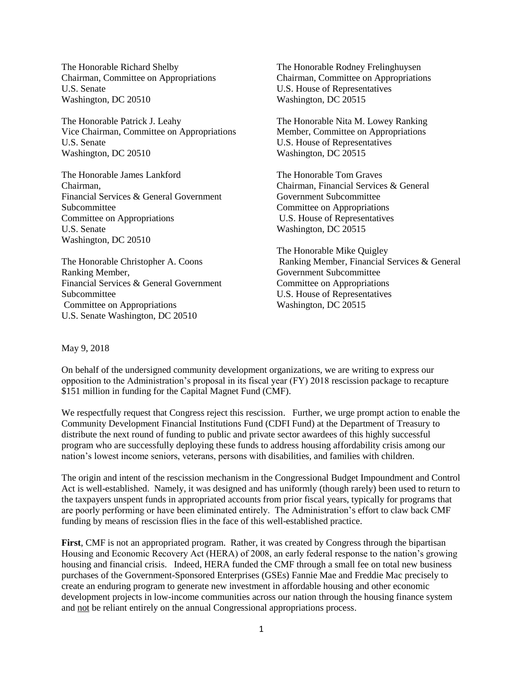The Honorable Richard Shelby Chairman, Committee on Appropriations U.S. Senate Washington, DC 20510

The Honorable Patrick J. Leahy Vice Chairman, Committee on Appropriations U.S. Senate Washington, DC 20510

The Honorable James Lankford Chairman, Financial Services & General Government Subcommittee Committee on Appropriations U.S. Senate Washington, DC 20510

The Honorable Christopher A. Coons Ranking Member, Financial Services & General Government Subcommittee Committee on Appropriations U.S. Senate Washington, DC 20510

The Honorable Rodney Frelinghuysen Chairman, Committee on Appropriations U.S. House of Representatives Washington, DC 20515

The Honorable Nita M. Lowey Ranking Member, Committee on Appropriations U.S. House of Representatives Washington, DC 20515

The Honorable Tom Graves Chairman, Financial Services & General Government Subcommittee Committee on Appropriations U.S. House of Representatives Washington, DC 20515

The Honorable Mike Quigley Ranking Member, Financial Services & General Government Subcommittee Committee on Appropriations U.S. House of Representatives Washington, DC 20515

## May 9, 2018

On behalf of the undersigned community development organizations, we are writing to express our opposition to the Administration's proposal in its fiscal year (FY) 2018 rescission package to recapture \$151 million in funding for the Capital Magnet Fund (CMF).

We respectfully request that Congress reject this rescission. Further, we urge prompt action to enable the Community Development Financial Institutions Fund (CDFI Fund) at the Department of Treasury to distribute the next round of funding to public and private sector awardees of this highly successful program who are successfully deploying these funds to address housing affordability crisis among our nation's lowest income seniors, veterans, persons with disabilities, and families with children.

The origin and intent of the rescission mechanism in the Congressional Budget Impoundment and Control Act is well-established. Namely, it was designed and has uniformly (though rarely) been used to return to the taxpayers unspent funds in appropriated accounts from prior fiscal years, typically for programs that are poorly performing or have been eliminated entirely. The Administration's effort to claw back CMF funding by means of rescission flies in the face of this well-established practice.

**First**, CMF is not an appropriated program. Rather, it was created by Congress through the bipartisan Housing and Economic Recovery Act (HERA) of 2008, an early federal response to the nation's growing housing and financial crisis. Indeed, HERA funded the CMF through a small fee on total new business purchases of the Government-Sponsored Enterprises (GSEs) Fannie Mae and Freddie Mac precisely to create an enduring program to generate new investment in affordable housing and other economic development projects in low-income communities across our nation through the housing finance system and not be reliant entirely on the annual Congressional appropriations process.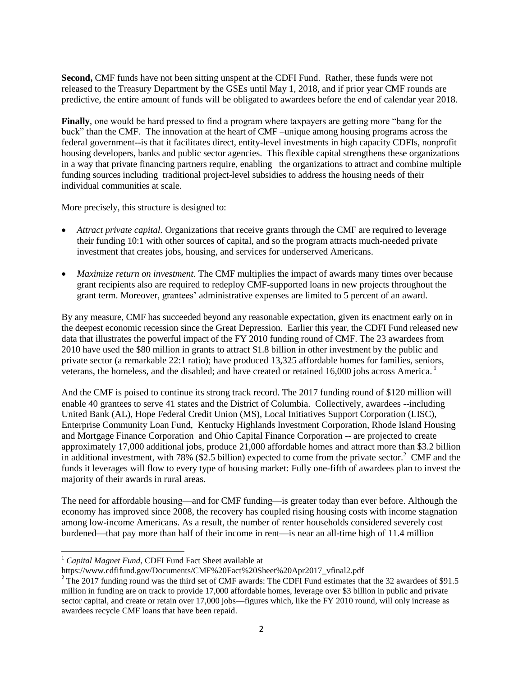**Second,** CMF funds have not been sitting unspent at the CDFI Fund. Rather, these funds were not released to the Treasury Department by the GSEs until May 1, 2018, and if prior year CMF rounds are predictive, the entire amount of funds will be obligated to awardees before the end of calendar year 2018.

**Finally**, one would be hard pressed to find a program where taxpayers are getting more "bang for the buck" than the CMF. The innovation at the heart of CMF –unique among housing programs across the federal government--is that it facilitates direct, entity-level investments in high capacity CDFIs, nonprofit housing developers, banks and public sector agencies. This flexible capital strengthens these organizations in a way that private financing partners require, enabling the organizations to attract and combine multiple funding sources including traditional project-level subsidies to address the housing needs of their individual communities at scale.

More precisely, this structure is designed to:

- *Attract private capital.* Organizations that receive grants through the CMF are required to leverage their funding 10:1 with other sources of capital, and so the program attracts much-needed private investment that creates jobs, housing, and services for underserved Americans.
- *Maximize return on investment.* The CMF multiplies the impact of awards many times over because grant recipients also are required to redeploy CMF-supported loans in new projects throughout the grant term. Moreover, grantees' administrative expenses are limited to 5 percent of an award.

By any measure, CMF has succeeded beyond any reasonable expectation, given its enactment early on in the deepest economic recession since the Great Depression. Earlier this year, the CDFI Fund released new data that illustrates the powerful impact of the FY 2010 funding round of CMF. The 23 awardees from 2010 have used the \$80 million in grants to attract \$1.8 billion in other investment by the public and private sector (a remarkable 22:1 ratio); have produced 13,325 affordable homes for families, seniors, veterans, the homeless, and the disabled; and have created or retained 16,000 jobs across America.<sup>1</sup>

And the CMF is poised to continue its strong track record. The 2017 funding round of \$120 million will enable 40 grantees to serve 41 states and the District of Columbia. Collectively, awardees --including United Bank (AL), Hope Federal Credit Union (MS), Local Initiatives Support Corporation (LISC), Enterprise Community Loan Fund, Kentucky Highlands Investment Corporation, Rhode Island Housing and Mortgage Finance Corporation and Ohio Capital Finance Corporation -- are projected to create approximately 17,000 additional jobs, produce 21,000 affordable homes and attract more than \$3.2 billion in additional investment, with 78% (\$2.5 billion) expected to come from the private sector.<sup>2</sup> CMF and the funds it leverages will flow to every type of housing market: Fully one-fifth of awardees plan to invest the majority of their awards in rural areas.

The need for affordable housing—and for CMF funding—is greater today than ever before. Although the economy has improved since 2008, the recovery has coupled rising housing costs with income stagnation among low-income Americans. As a result, the number of renter households considered severely cost burdened—that pay more than half of their income in rent—is near an all-time high of 11.4 million

l <sup>1</sup> Capital Magnet Fund, CDFI Fund Fact Sheet available at

https://www.cdfifund.gov/Documents/CMF%20Fact%20Sheet%20Apr2017\_vfinal2.pdf

 $2$  The 2017 funding round was the third set of CMF awards: The CDFI Fund estimates that the 32 awardees of \$91.5 million in funding are on track to provide 17,000 affordable homes, leverage over \$3 billion in public and private sector capital, and create or retain over 17,000 jobs—figures which, like the FY 2010 round, will only increase as awardees recycle CMF loans that have been repaid.